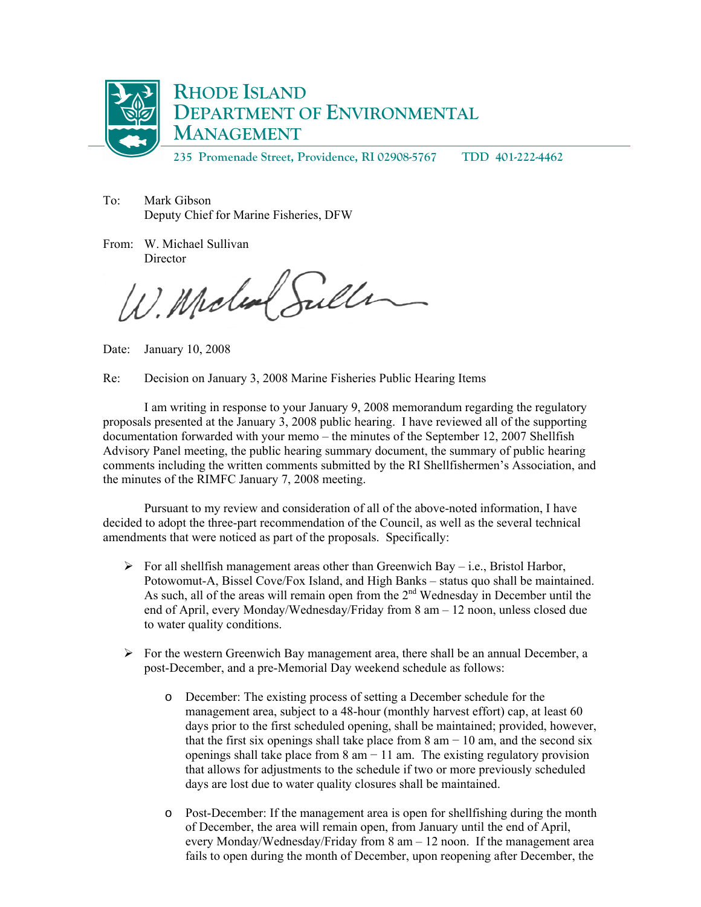

**235 Promenade Street, Providence, RI 02908-5767 TDD 401-222-4462** 

To: Mark Gibson Deputy Chief for Marine Fisheries, DFW

From: W. Michael Sullivan **Director** 

W. Molen Sulle

Date: January 10, 2008

Re: Decision on January 3, 2008 Marine Fisheries Public Hearing Items

I am writing in response to your January 9, 2008 memorandum regarding the regulatory proposals presented at the January 3, 2008 public hearing. I have reviewed all of the supporting documentation forwarded with your memo – the minutes of the September 12, 2007 Shellfish Advisory Panel meeting, the public hearing summary document, the summary of public hearing comments including the written comments submitted by the RI Shellfishermen's Association, and the minutes of the RIMFC January 7, 2008 meeting.

 Pursuant to my review and consideration of all of the above-noted information, I have decided to adopt the three-part recommendation of the Council, as well as the several technical amendments that were noticed as part of the proposals. Specifically:

- $\triangleright$  For all shellfish management areas other than Greenwich Bay i.e., Bristol Harbor, Potowomut-A, Bissel Cove/Fox Island, and High Banks – status quo shall be maintained. As such, all of the areas will remain open from the  $2<sup>nd</sup>$  Wednesday in December until the end of April, every Monday/Wednesday/Friday from 8 am – 12 noon, unless closed due to water quality conditions.
- $\triangleright$  For the western Greenwich Bay management area, there shall be an annual December, a post-December, and a pre-Memorial Day weekend schedule as follows:
	- o December: The existing process of setting a December schedule for the management area, subject to a 48-hour (monthly harvest effort) cap, at least 60 days prior to the first scheduled opening, shall be maintained; provided, however, that the first six openings shall take place from 8 am  $-10$  am, and the second six openings shall take place from  $8 \text{ am} - 11 \text{ am}$ . The existing regulatory provision that allows for adjustments to the schedule if two or more previously scheduled days are lost due to water quality closures shall be maintained.
	- o Post-December: If the management area is open for shellfishing during the month of December, the area will remain open, from January until the end of April, every Monday/Wednesday/Friday from  $8$  am  $-12$  noon. If the management area fails to open during the month of December, upon reopening after December, the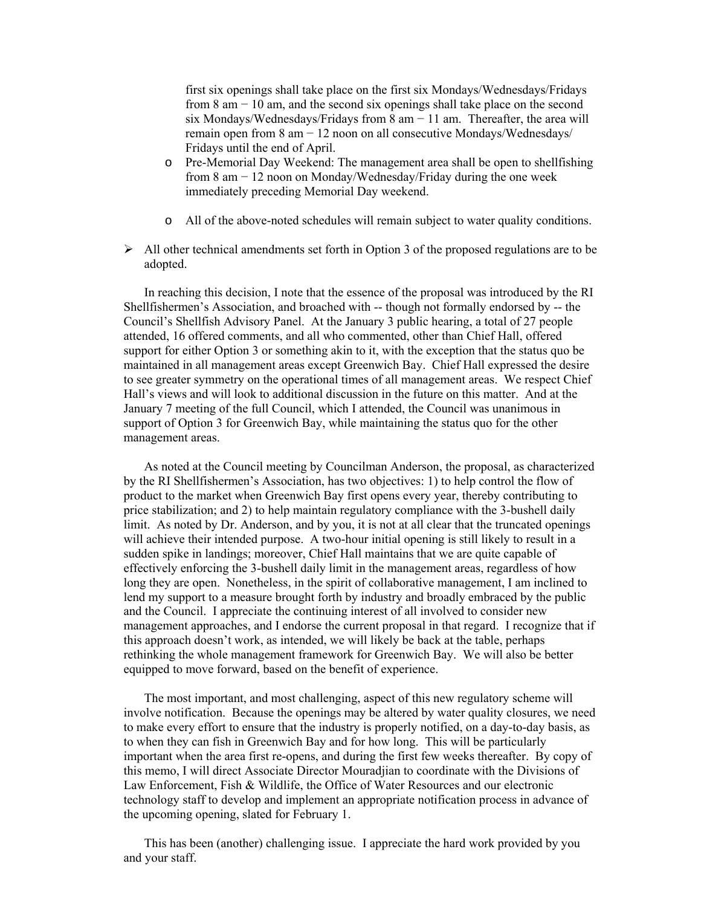first six openings shall take place on the first six Mondays/Wednesdays/Fridays from 8 am − 10 am, and the second six openings shall take place on the second six Mondays/Wednesdays/Fridays from 8 am  $-11$  am. Thereafter, the area will remain open from 8 am − 12 noon on all consecutive Mondays/Wednesdays/ Fridays until the end of April.

- o Pre-Memorial Day Weekend: The management area shall be open to shellfishing from 8 am − 12 noon on Monday/Wednesday/Friday during the one week immediately preceding Memorial Day weekend.
- o All of the above-noted schedules will remain subject to water quality conditions.
- $\triangleright$  All other technical amendments set forth in Option 3 of the proposed regulations are to be adopted.

In reaching this decision, I note that the essence of the proposal was introduced by the RI Shellfishermen's Association, and broached with -- though not formally endorsed by -- the Council's Shellfish Advisory Panel. At the January 3 public hearing, a total of 27 people attended, 16 offered comments, and all who commented, other than Chief Hall, offered support for either Option 3 or something akin to it, with the exception that the status quo be maintained in all management areas except Greenwich Bay. Chief Hall expressed the desire to see greater symmetry on the operational times of all management areas. We respect Chief Hall's views and will look to additional discussion in the future on this matter. And at the January 7 meeting of the full Council, which I attended, the Council was unanimous in support of Option 3 for Greenwich Bay, while maintaining the status quo for the other management areas.

As noted at the Council meeting by Councilman Anderson, the proposal, as characterized by the RI Shellfishermen's Association, has two objectives: 1) to help control the flow of product to the market when Greenwich Bay first opens every year, thereby contributing to price stabilization; and 2) to help maintain regulatory compliance with the 3-bushell daily limit. As noted by Dr. Anderson, and by you, it is not at all clear that the truncated openings will achieve their intended purpose. A two-hour initial opening is still likely to result in a sudden spike in landings; moreover, Chief Hall maintains that we are quite capable of effectively enforcing the 3-bushell daily limit in the management areas, regardless of how long they are open. Nonetheless, in the spirit of collaborative management, I am inclined to lend my support to a measure brought forth by industry and broadly embraced by the public and the Council. I appreciate the continuing interest of all involved to consider new management approaches, and I endorse the current proposal in that regard. I recognize that if this approach doesn't work, as intended, we will likely be back at the table, perhaps rethinking the whole management framework for Greenwich Bay. We will also be better equipped to move forward, based on the benefit of experience.

The most important, and most challenging, aspect of this new regulatory scheme will involve notification. Because the openings may be altered by water quality closures, we need to make every effort to ensure that the industry is properly notified, on a day-to-day basis, as to when they can fish in Greenwich Bay and for how long. This will be particularly important when the area first re-opens, and during the first few weeks thereafter. By copy of this memo, I will direct Associate Director Mouradjian to coordinate with the Divisions of Law Enforcement, Fish & Wildlife, the Office of Water Resources and our electronic technology staff to develop and implement an appropriate notification process in advance of the upcoming opening, slated for February 1.

This has been (another) challenging issue. I appreciate the hard work provided by you and your staff.